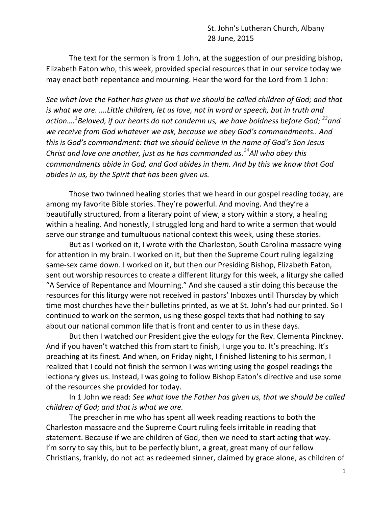St. John's Lutheran Church, Albany 28 June, 2015

 The text for the sermon is from 1 John, at the suggestion of our presiding bishop, Elizabeth Eaton who, this week, provided special resources that in our service today we may enact both repentance and mourning. Hear the word for the Lord from 1 John:

*See what love the Father has given us that we should be called children of God; and that is what we are. ….Little children, let us love, not in word or speech, but in truth and action…. 1 Beloved, if our hearts do not condemn us, we have boldness before God; <sup>22</sup>and we receive from God whatever we ask, because we obey God's commandments.. And this is God's commandment: that we should believe in the name of God's Son Jesus Christ and love one another, just as he has commanded us.<sup>24</sup>All who obey this commandments abide in God, and God abides in them. And by this we know that God abides in us, by the Spirit that has been given us.*

Those two twinned healing stories that we heard in our gospel reading today, are among my favorite Bible stories. They're powerful. And moving. And they're a beautifully structured, from a literary point of view, a story within a story, a healing within a healing. And honestly, I struggled long and hard to write a sermon that would serve our strange and tumultuous national context this week, using these stories.

But as I worked on it, I wrote with the Charleston, South Carolina massacre vying for attention in my brain. I worked on it, but then the Supreme Court ruling legalizing same-sex came down. I worked on it, but then our Presiding Bishop, Elizabeth Eaton, sent out worship resources to create a different liturgy for this week, a liturgy she called "A Service of Repentance and Mourning." And she caused a stir doing this because the resources for this liturgy were not received in pastors' Inboxes until Thursday by which time most churches have their bulletins printed, as we at St. John's had our printed. So I continued to work on the sermon, using these gospel texts that had nothing to say about our national common life that is front and center to us in these days.

But then I watched our President give the eulogy for the Rev. Clementa Pinckney. And if you haven't watched this from start to finish, I urge you to. It's preaching. It's preaching at its finest. And when, on Friday night, I finished listening to his sermon, I realized that I could not finish the sermon I was writing using the gospel readings the lectionary gives us. Instead, I was going to follow Bishop Eaton's directive and use some of the resources she provided for today.

In 1 John we read: *See what love the Father has given us, that we should be called children of God; and that is what we are.*

The preacher in me who has spent all week reading reactions to both the Charleston massacre and the Supreme Court ruling feels irritable in reading that statement. Because if we are children of God, then we need to start acting that way. I'm sorry to say this, but to be perfectly blunt, a great, great many of our fellow Christians, frankly, do not act as redeemed sinner, claimed by grace alone, as children of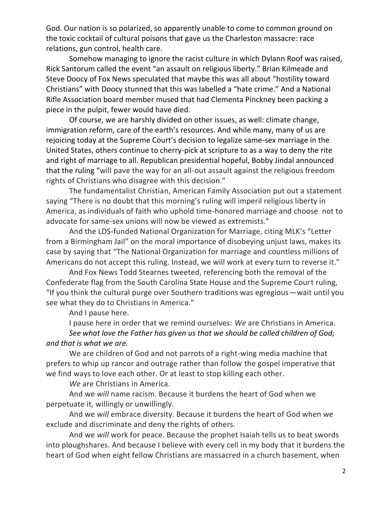God. Our nation is so polarized, so apparently unable to come to common ground on the toxic cocktail of cultural poisons that gave us the Charleston massacre: race relations, gun control, health care.

Somehow managing to ignore the racist culture in which Dylann Roof was raised, Rick Santorum called the event "an assault on religious liberty." Brian Kilmeade and Steve Doocy of Fox News speculated that maybe this was all about "hostility toward Christians" with Doocy stunned that this was labelled a "hate crime." And a National Rifle Association board member mused that had Clementa Pinckney been packing a piece in the pulpit, fewer would have died.

Of course, we are harshly divided on other issues, as well: climate change, immigration reform, care of the earth's resources. And while many, many of us are rejoicing today at the Supreme Court's decision to legalize same-sex marriage in the United States, others continue to cherry-pick at scripture to as a way to deny the rite and right of marriage to all. Republican presidential hopeful, Bobby Jindal announced that the ruling "will pave the way for an all-out assault against the religious freedom rights of Christians who disagree with this decision."

The fundamentalist Christian, American Family Association put out a statement saying "There is no doubt that this morning's ruling will imperil religious liberty in America, as individuals of faith who uphold time-honored marriage and choose not to advocate for same-sex unions will now be viewed as extremists."

And the LDS-funded National Organization for Marriage, citing MLK's "Letter from a Birmingham Jail" on the moral importance of disobeying unjust laws, makes its case by saying that "The National Organization for marriage and countless millions of Americans do not accept this ruling. Instead, we will work at every turn to reverse it."

And Fox News Todd Stearnes tweeted, referencing both the removal of the Confederate flag from the South Carolina State House and the Supreme Court ruling, "If you think the cultural purge over Southern traditions was egregious—wait until you see what they do to Christians in America."

And I pause here.

I pause here in order that we remind ourselves: *We* are Christians in America. *See what love the Father has given us that we should be called children of God; and that is what we are.*

We are children of God and not parrots of a right-wing media machine that prefers to whip up rancor and outrage rather than follow the gospel imperative that we find ways to love each other. Or at least to stop killing each other.

*We* are Christians in America.

And we *will* name racism. Because it burdens the heart of God when we perpetuate it, willingly or unwillingly.

And we *will* embrace diversity. Because it burdens the heart of God when we exclude and discriminate and deny the rights of others.

And we *will* work for peace. Because the prophet Isaiah tells us to beat swords into ploughshares. And because I believe with every cell in my body that it burdens the heart of God when eight fellow Christians are massacred in a church basement, when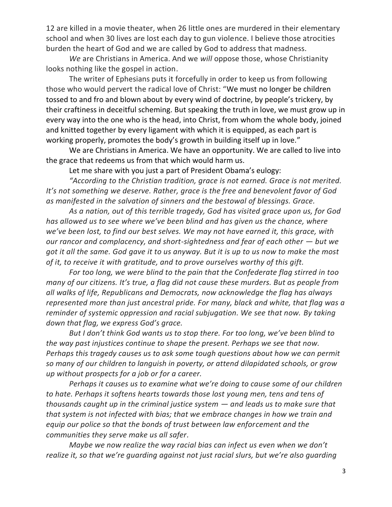12 are killed in a movie theater, when 26 little ones are murdered in their elementary school and when 30 lives are lost each day to gun violence. I believe those atrocities burden the heart of God and we are called by God to address that madness.

*We* are Christians in America. And we *will* oppose those, whose Christianity looks nothing like the gospel in action.

The writer of Ephesians puts it forcefully in order to keep us from following those who would pervert the radical love of Christ: "We must no longer be children tossed to and fro and blown about by every wind of doctrine, by people's trickery, by their craftiness in deceitful scheming. But speaking the truth in love, we must grow up in every way into the one who is the head, into Christ, from whom the whole body, joined and knitted together by every ligament with which it is equipped, as each part is working properly, promotes the body's growth in building itself up in love."

We are Christians in America. We have an opportunity. We are called to live into the grace that redeems us from that which would harm us.

Let me share with you just a part of President Obama's eulogy:

*"According to the Christian tradition, grace is not earned. Grace is not merited. It's not something we deserve. Rather, grace is the free and benevolent favor of God as manifested in the salvation of sinners and the bestowal of blessings. Grace.*

*As a nation, out of this terrible tragedy, God has visited grace upon us, for God has allowed us to see where we've been blind and has given us the chance, where we've been lost, to find our best selves. We may not have earned it, this grace, with our rancor and complacency, and short-sightedness and fear of each other – but we got it all the same. God gave it to us anyway. But it is up to us now to make the most of it, to receive it with gratitude, and to prove ourselves worthy of this gift.*

*For too long, we were blind to the pain that the Confederate flag stirred in too many of our citizens. It's true, a flag did not cause these murders. But as people from all walks of life, Republicans and Democrats, now acknowledge the flag has always represented more than just ancestral pride. For many, black and white, that flag was a reminder of systemic oppression and racial subjugation. We see that now. By taking down that flag, we express God's grace.* 

*But I don't think God wants us to stop there. For too long, we've been blind to the way past injustices continue to shape the present. Perhaps we see that now. Perhaps this tragedy causes us to ask some tough questions about how we can permit so many of our children to languish in poverty, or attend dilapidated schools, or grow up without prospects for a job or for a career.* 

*Perhaps it causes us to examine what we're doing to cause some of our children to hate. Perhaps it softens hearts towards those lost young men, tens and tens of thousands caught up in the criminal justice system — and leads us to make sure that that system is not infected with bias; that we embrace changes in how we train and equip our police so that the bonds of trust between law enforcement and the communities they serve make us all safer.*

*Maybe we now realize the way racial bias can infect us even when we don't realize it, so that we're guarding against not just racial slurs, but we're also guarding*